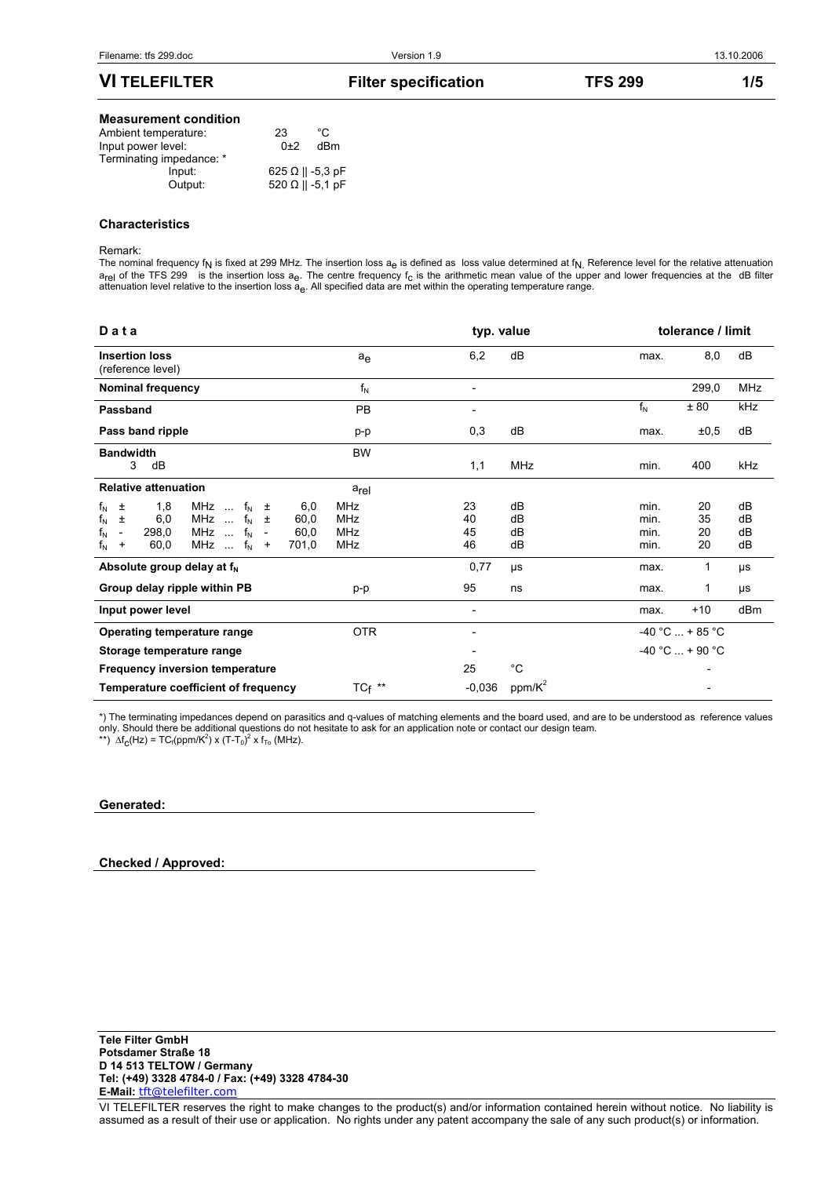## **VI TELEFILTER** Filter specification TFS 299 1/5

#### **Measurement condition**

| Ambient temperature:     | 23                      | °C  |
|--------------------------|-------------------------|-----|
| Input power level:       | $0+2$                   | dBm |
| Terminating impedance: * |                         |     |
| Input:                   | $625 \Omega    -5.3 pF$ |     |
| Output:                  | $520 \Omega    -5.1 pF$ |     |
|                          |                         |     |

## **Characteristics**

#### Remark:

The nominal frequency f<sub>N</sub> is fixed at 299 MHz. The insertion loss  $a_e$  is defined as loss value determined at  $f_N$ . Reference level for the relative attenuation  $a_{rel}$  of the TFS 299 is the insertion loss  $a_{e}$ . The centre frequency  $f_c$  is the arithmetic mean value of the upper and lower frequencies at the dB filter attenuation level relative to the insertion loss a<sub>e</sub>. All specified data are met within the operating temperature range.

| $D$ a t a                                                                                                                                                                                                                                                                                                                                   |                          | typ. value                   |                      |                              | tolerance / limit    |                      |
|---------------------------------------------------------------------------------------------------------------------------------------------------------------------------------------------------------------------------------------------------------------------------------------------------------------------------------------------|--------------------------|------------------------------|----------------------|------------------------------|----------------------|----------------------|
| <b>Insertion loss</b><br>(reference level)                                                                                                                                                                                                                                                                                                  | ae                       | 6,2                          | dB                   | max.                         | 8,0                  | dB                   |
| <b>Nominal frequency</b>                                                                                                                                                                                                                                                                                                                    | $f_N$                    | $\overline{\phantom{0}}$     |                      |                              | 299,0                | <b>MHz</b>           |
| Passband                                                                                                                                                                                                                                                                                                                                    | <b>PB</b>                |                              |                      | $f_N$                        | ± 80                 | kHz                  |
| Pass band ripple                                                                                                                                                                                                                                                                                                                            | p-p                      | 0,3                          | dB                   | max.                         | ±0,5                 | dB                   |
| <b>Bandwidth</b><br>3<br>dB                                                                                                                                                                                                                                                                                                                 | <b>BW</b>                | 1,1                          | <b>MHz</b>           | min.                         | 400                  | kHz                  |
| <b>Relative attenuation</b>                                                                                                                                                                                                                                                                                                                 | arel                     |                              |                      |                              |                      |                      |
| $f_N$<br>1,8<br>$f_{\rm N}$<br>6,0<br>MHz<br>土<br>$\pm$<br>$\sim 10^{-1}$<br>$f_N$<br>MHz<br>$f_N$<br>$\pm$<br>6,0<br>60,0<br>$\sim$<br>$\pm$<br>$\mathsf{f}_{\mathsf{N}}$<br>$f_N$<br>298,0<br>MHz<br>60,0<br>$\sim$<br>$\overline{\phantom{a}}$<br>$\overline{\phantom{a}}$<br>$f_N$<br>$f_N$<br>60,0<br>MHz<br>701,0<br>$\ddot{}$<br>$+$ | MHz<br>MHz<br>MHz<br>MHz | 23<br>40<br>45<br>46         | dB<br>dB<br>dB<br>dB | min.<br>min.<br>min.<br>min. | 20<br>35<br>20<br>20 | dB<br>dB<br>dB<br>dB |
| Absolute group delay at f <sub>N</sub>                                                                                                                                                                                                                                                                                                      |                          | 0,77                         | μs                   | max.                         | 1                    | μs                   |
| Group delay ripple within PB                                                                                                                                                                                                                                                                                                                | p-p                      | 95                           | ns                   | max.                         | 1                    | μs                   |
| Input power level                                                                                                                                                                                                                                                                                                                           |                          | $\qquad \qquad \blacksquare$ |                      | max.                         | $+10$                | dB <sub>m</sub>      |
| Operating temperature range                                                                                                                                                                                                                                                                                                                 | <b>OTR</b>               |                              |                      | $-40 °C  + 85 °C$            |                      |                      |
| Storage temperature range                                                                                                                                                                                                                                                                                                                   |                          |                              |                      | $-40 °C  + 90 °C$            |                      |                      |
| <b>Frequency inversion temperature</b>                                                                                                                                                                                                                                                                                                      |                          | 25                           | $^{\circ}C$          |                              |                      |                      |
| Temperature coefficient of frequency                                                                                                                                                                                                                                                                                                        | $TC_f$ **                | $-0.036$                     | $ppm/K^2$            |                              |                      |                      |

\*) The terminating impedances depend on parasitics and q-values of matching elements and the board used, and are to be understood as reference values only. Should there be additional questions do not hesitate to ask for an application note or contact our design team.

\*\*)  $\Delta f_C(Hz) = TC_f(ppm/K^2) \times (T-T_0)^2 \times f_{To}$  (MHz).

#### **Generated:**

**Checked / Approved:**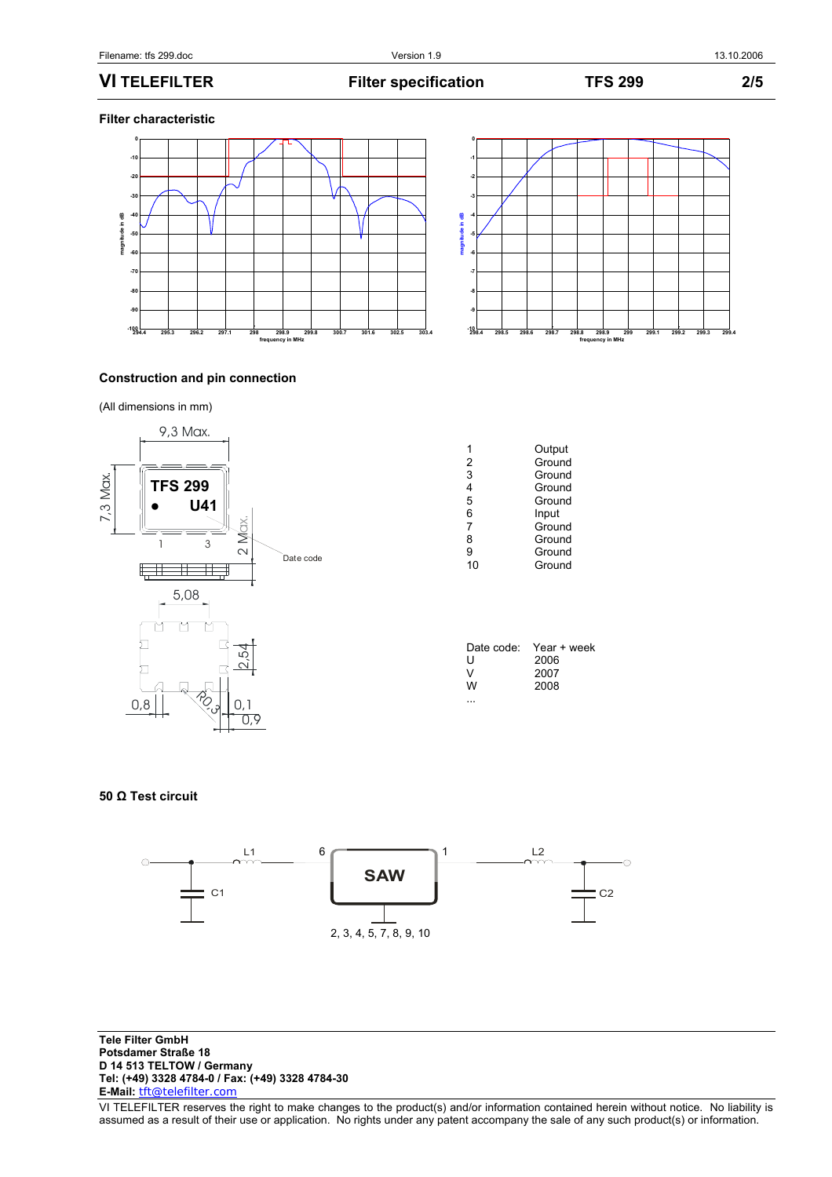**VI TELEFILTER Filter specification TFS 299 2/5** 

**Filter characteristic** 





## **Construction and pin connection**

(All dimensions in mm)



| 2  | Output<br>Ground |
|----|------------------|
| 3  | Ground           |
| 4  | Ground           |
| 5  | Ground           |
| 6  | Input            |
| 7  | Ground           |
| 8  | Ground           |
| 9  | Ground           |
| 10 | Ground           |
|    |                  |

| Date code: | Year + week |
|------------|-------------|
| U          | 2006        |
| v          | 2007        |
| w          | 2008        |
|            |             |

## **50 Ω Test circuit**



**Tele Filter GmbH Potsdamer Straße 18 D 14 513 TELTOW / Germany Tel: (+49) 3328 4784-0 / Fax: (+49) 3328 4784-30 E-Mail:** tft@telefilter.com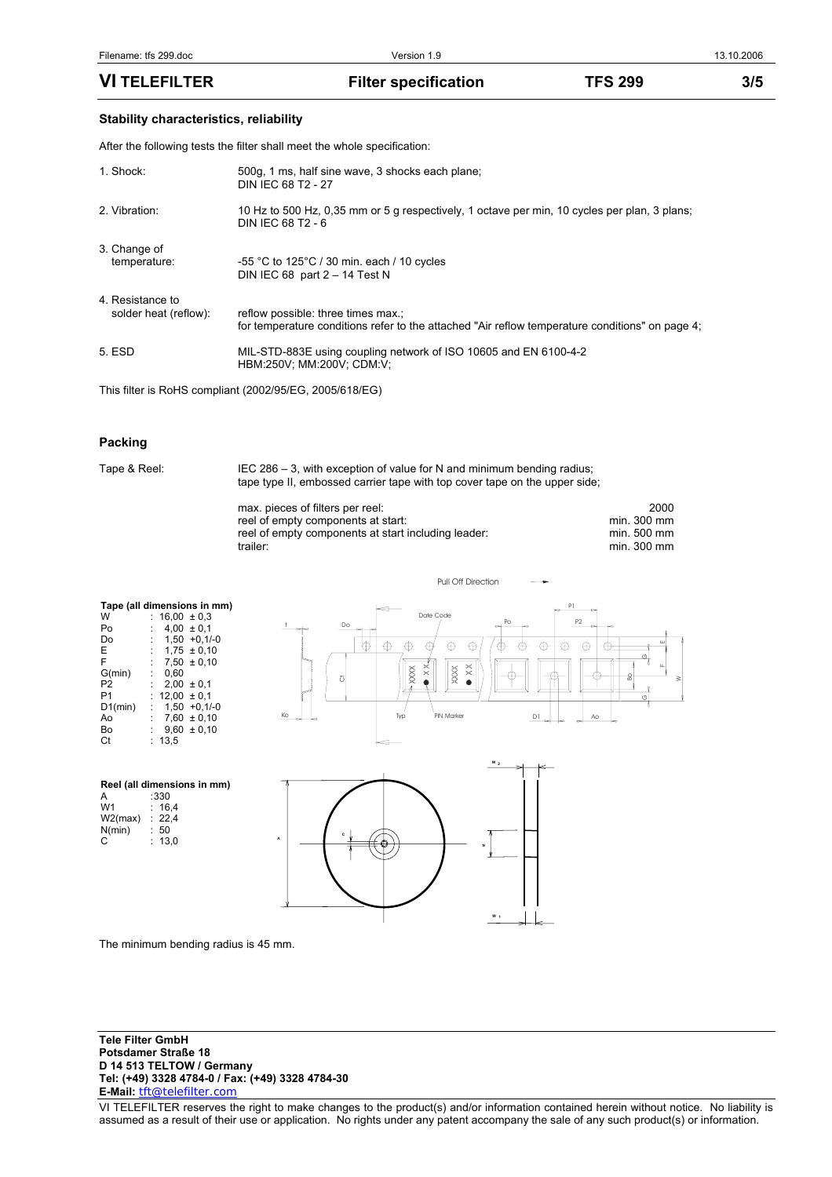# **Stability characteristics, reliability**

After the following tests the filter shall meet the whole specification:

| 1. Shock:                                 | 500g, 1 ms, half sine wave, 3 shocks each plane;<br>DIN IEC 68 T2 - 27                                                                |
|-------------------------------------------|---------------------------------------------------------------------------------------------------------------------------------------|
| 2. Vibration:                             | 10 Hz to 500 Hz, 0.35 mm or 5 g respectively, 1 octave per min, 10 cycles per plan, 3 plans;<br>DIN IEC 68 T2 - 6                     |
| 3. Change of<br>temperature:              | $-55$ °C to 125°C / 30 min. each / 10 cycles<br>DIN IEC 68 part $2 - 14$ Test N                                                       |
| 4. Resistance to<br>solder heat (reflow): | reflow possible: three times max.;<br>for temperature conditions refer to the attached "Air reflow temperature conditions" on page 4; |
| 5. ESD                                    | MIL-STD-883E using coupling network of ISO 10605 and EN 6100-4-2<br>HBM:250V: MM:200V: CDM:V:                                         |

This filter is RoHS compliant (2002/95/EG, 2005/618/EG)

#### **Packing**

Tape & Reel: IEC 286 – 3, with exception of value for N and minimum bending radius; tape type II, embossed carrier tape with top cover tape on the upper side;

| max. pieces of filters per reel:                    | 2000        |
|-----------------------------------------------------|-------------|
| reel of empty components at start:                  | min. 300 mm |
| reel of empty components at start including leader: | min. 500 mm |
| trailer:                                            | min. 300 mm |

Pull Off Direction

| Tape (all dimensions in mm) |    |                 |                 |  |  |
|-----------------------------|----|-----------------|-----------------|--|--|
| W                           |    | $16.00 \pm 0.3$ |                 |  |  |
| Po                          |    |                 | $4.00 \pm 0.1$  |  |  |
| Do                          |    |                 | $1,50 +0,1/-0$  |  |  |
| E                           | t. |                 | $1.75 \pm 0.10$ |  |  |
| F                           |    |                 | $7.50 \pm 0.10$ |  |  |
| G(min)                      |    | 0.60            |                 |  |  |
| P <sub>2</sub>              |    |                 | $2,00 \pm 0,1$  |  |  |
| P1                          | t. | $12.00 \pm 0.1$ |                 |  |  |
| D1(min)                     |    |                 | $1.50 + 0.1/-0$ |  |  |
| A٥                          |    |                 | $7,60 \pm 0,10$ |  |  |
| B٥                          |    |                 | $9,60 \pm 0,10$ |  |  |
| Ct                          |    | 13.5            |                 |  |  |

**Reel (all dimensions in mm)**<br>A :330<br>W1 : 16,4 A : 330  $: 16,4$ <br> $: 22.4$ 

 $W2(max) : 22, N(min) : 50$ N(min) : 50  $C$  : 13,0





The minimum bending radius is 45 mm.

**Tele Filter GmbH Potsdamer Straße 18 D 14 513 TELTOW / Germany Tel: (+49) 3328 4784-0 / Fax: (+49) 3328 4784-30 E-Mail:** tft@telefilter.com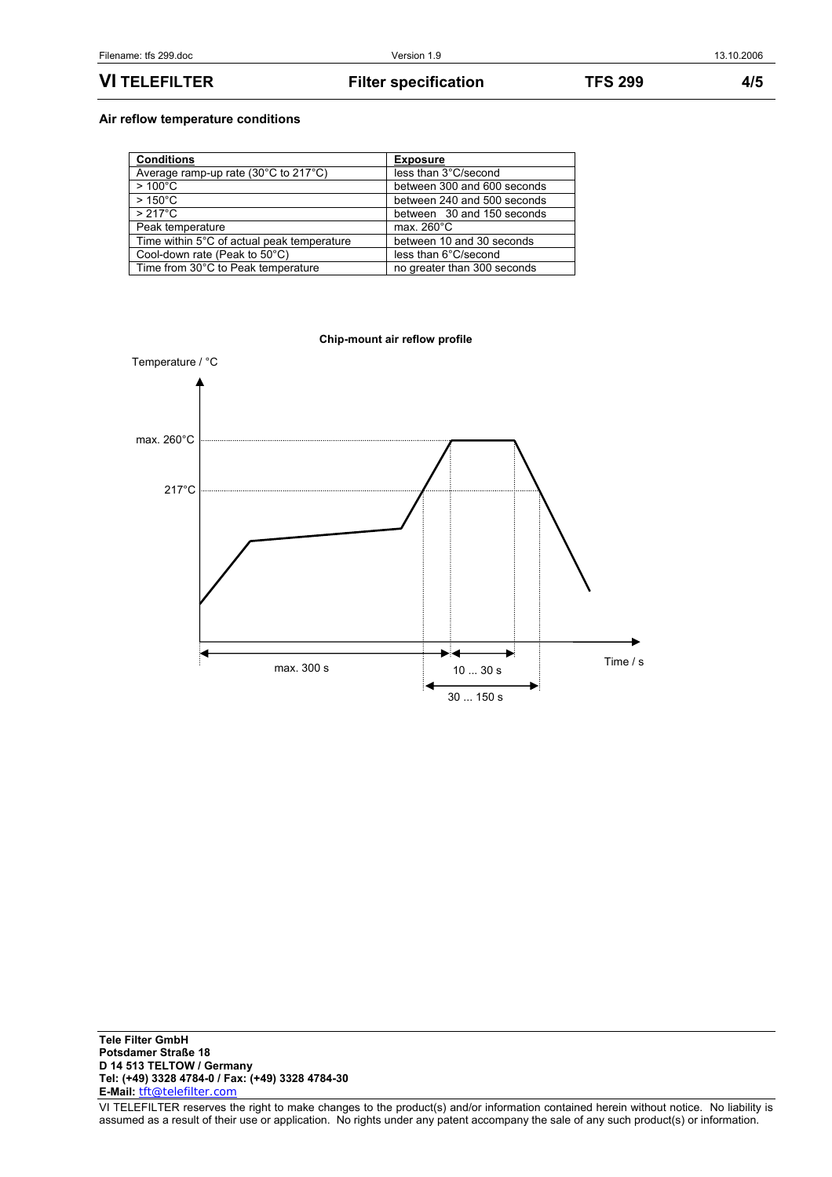**VI TELEFILTER Filter specification TFS 299 4/5** 

## **Air reflow temperature conditions**

| <b>Conditions</b>                                         | <b>Exposure</b>             |
|-----------------------------------------------------------|-----------------------------|
| Average ramp-up rate $(30^{\circ}$ C to 217 $^{\circ}$ C) | less than 3°C/second        |
| $>100^{\circ}$ C                                          | between 300 and 600 seconds |
| $>150^{\circ}$ C                                          | between 240 and 500 seconds |
| $>217^{\circ}$ C                                          | between 30 and 150 seconds  |
| Peak temperature                                          | max. $260^{\circ}$ C        |
| Time within 5°C of actual peak temperature                | between 10 and 30 seconds   |
| Cool-down rate (Peak to 50°C)                             | less than 6°C/second        |
| Time from 30°C to Peak temperature                        | no greater than 300 seconds |